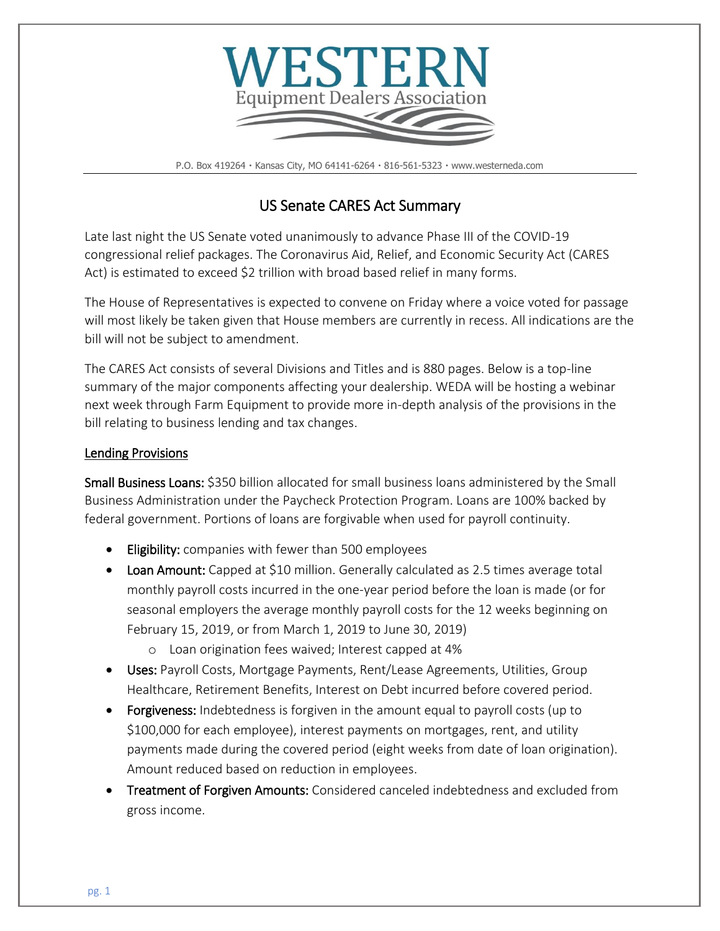

P.O. Box 419264 · Kansas City, MO 64141-6264 · 816-561-5323 · www.westerneda.com

# US Senate CARES Act Summary

Late last night the US Senate voted unanimously to advance Phase III of the COVID-19 congressional relief packages. The Coronavirus Aid, Relief, and Economic Security Act (CARES Act) is estimated to exceed \$2 trillion with broad based relief in many forms.

The House of Representatives is expected to convene on Friday where a voice voted for passage will most likely be taken given that House members are currently in recess. All indications are the bill will not be subject to amendment.

The CARES Act consists of several Divisions and Titles and is 880 pages. Below is a top-line summary of the major components affecting your dealership. WEDA will be hosting a webinar next week through Farm Equipment to provide more in-depth analysis of the provisions in the bill relating to business lending and tax changes.

# Lending Provisions

Small Business Loans: \$350 billion allocated for small business loans administered by the Small Business Administration under the Paycheck Protection Program. Loans are 100% backed by federal government. Portions of loans are forgivable when used for payroll continuity.

- **Eligibility:** companies with fewer than 500 employees
- Loan Amount: Capped at \$10 million. Generally calculated as 2.5 times average total monthly payroll costs incurred in the one-year period before the loan is made (or for seasonal employers the average monthly payroll costs for the 12 weeks beginning on February 15, 2019, or from March 1, 2019 to June 30, 2019)
	- o Loan origination fees waived; Interest capped at 4%
- Uses: Payroll Costs, Mortgage Payments, Rent/Lease Agreements, Utilities, Group Healthcare, Retirement Benefits, Interest on Debt incurred before covered period.
- Forgiveness: Indebtedness is forgiven in the amount equal to payroll costs (up to \$100,000 for each employee), interest payments on mortgages, rent, and utility payments made during the covered period (eight weeks from date of loan origination). Amount reduced based on reduction in employees.
- Treatment of Forgiven Amounts: Considered canceled indebtedness and excluded from gross income.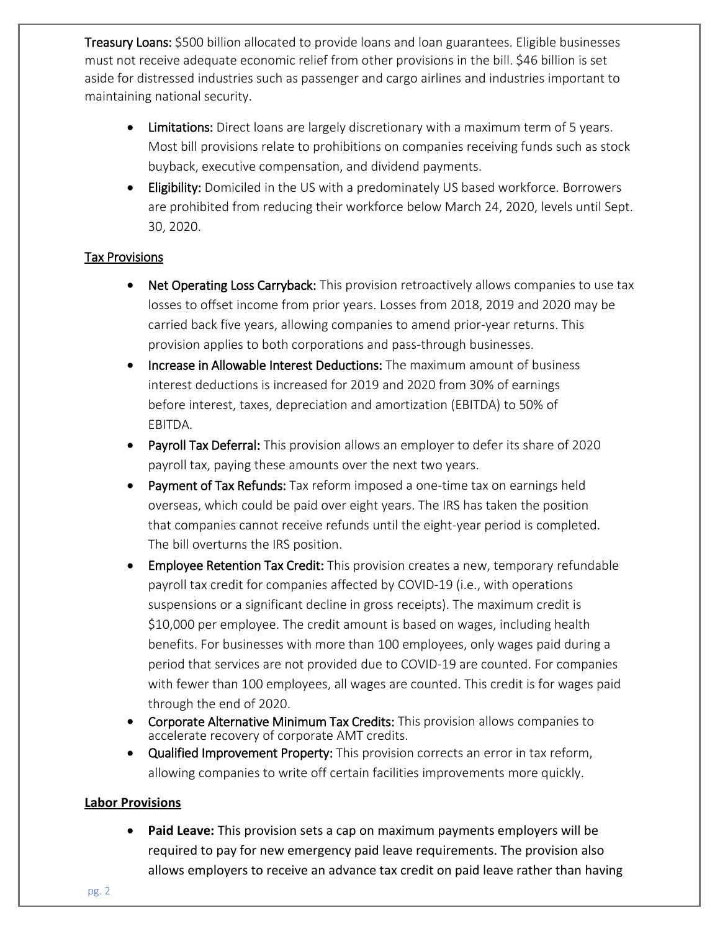Treasury Loans: \$500 billion allocated to provide loans and loan guarantees. Eligible businesses must not receive adequate economic relief from other provisions in the bill. \$46 billion is set aside for distressed industries such as passenger and cargo airlines and industries important to maintaining national security.

- Limitations: Direct loans are largely discretionary with a maximum term of 5 years. Most bill provisions relate to prohibitions on companies receiving funds such as stock buyback, executive compensation, and dividend payments.
- **Eligibility:** Domiciled in the US with a predominately US based workforce. Borrowers are prohibited from reducing their workforce below March 24, 2020, levels until Sept. 30, 2020.

### Tax Provisions

- Net Operating Loss Carryback: This provision retroactively allows companies to use tax losses to offset income from prior years. Losses from 2018, 2019 and 2020 may be carried back five years, allowing companies to amend prior-year returns. This provision applies to both corporations and pass-through businesses.
- Increase in Allowable Interest Deductions: The maximum amount of business interest deductions is increased for 2019 and 2020 from 30% of earnings before interest, taxes, depreciation and amortization (EBITDA) to 50% of EBITDA.
- Payroll Tax Deferral: This provision allows an employer to defer its share of 2020 payroll tax, paying these amounts over the next two years.
- Payment of Tax Refunds: Tax reform imposed a one-time tax on earnings held overseas, which could be paid over eight years. The IRS has taken the position that companies cannot receive refunds until the eight-year period is completed. The bill overturns the IRS position.
- Employee Retention Tax Credit: This provision creates a new, temporary refundable payroll tax credit for companies affected by COVID-19 (i.e., with operations suspensions or a significant decline in gross receipts). The maximum credit is \$10,000 per employee. The credit amount is based on wages, including health benefits. For businesses with more than 100 employees, only wages paid during a period that services are not provided due to COVID-19 are counted. For companies with fewer than 100 employees, all wages are counted. This credit is for wages paid through the end of 2020.
- Corporate Alternative Minimum Tax Credits: This provision allows companies to accelerate recovery of corporate AMT credits.
- Qualified Improvement Property: This provision corrects an error in tax reform, allowing companies to write off certain facilities improvements more quickly.

#### **Labor Provisions**

 **Paid Leave:** This provision sets a cap on maximum payments employers will be required to pay for new emergency paid leave requirements. The provision also allows employers to receive an advance tax credit on paid leave rather than having